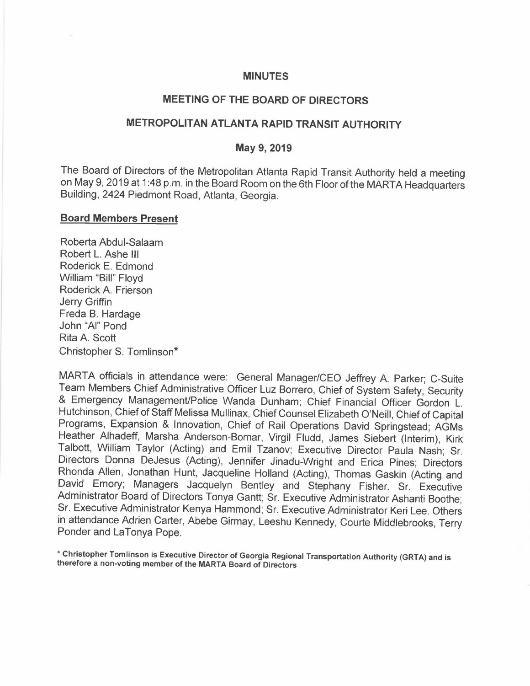#### **MINUTES**

# **MEETING OF THE BOARD OF DIRECTORS**

## **METROPOLITAN ATLANTA RAPID TRANSIT AUTHORITY**

#### **May 9, 2019**

The Board of Directors of the Metropolitan Atlanta Rapid Transit Authority held a meeting on May 9, 2019 at 1 :48 p.m. in the Board Room on the 6th Floor of the MARTA Headquarters Building, 2424 Piedmont Road, Atlanta, Georgia.

#### **Board Members Present**

Roberta Abdul-Salaam Robert L. Ashe III Roderick E. Edmond William "Bill" Floyd Roderick A. Frierson Jerry Griffin Freda B. Hardage John "Al" Pond Rita A. Scott Christopher S. Tomlinson"

MARTA officials in attendance were: General Manager/CEO Jeffrey A. Parker; C-Suite Team Members Chief Administrative Officer Luz Borrero, Chief of System Safety, Security & Emergency Management/Police Wanda Dunham; Chief Financial Officer Gordon L. Hutchinson, Chief of Staff Melissa Mullinax, Chief Counsel Elizabeth O'Neill, Chief of Capital Programs, Expansion & Innovation, Chief of Rail Operations David Springstead; AGMs Heather Alhadeff, Marsha Anderson-Bomar, Virgil Fludd, James Siebert (Interim), Kirk Talbott, William Taylor (Acting) and Emil Tzanov; Executive Director Paula Nash; Sr. Directors Donna DeJesus (Acting), Jennifer Jinadu-Wright and Erica Pines; Directors Rhonda Allen, Jonathan Hunt, Jacqueline Holland (Acting), Thomas Gaskin (Acting and David Emory; Managers Jacquelyn Bentley and Stephany Fisher. Sr. Executive Administrator Board of Directors Tonya Gantt; Sr. Executive Administrator Ashanti Boothe; Sr. Executive Administrator Kenya Hammond; Sr. Executive Administrator Keri Lee. Others in attendance Adrien Carter, Abebe Girmay, Leeshu Kennedy, Courte Middlebrooks, Terry Ponder and LaTonya Pope.

\* **Christopher Tomlinson is Executive Director of Georgia Regional Transportation Authority (GRTA) and is therefore a non-voting member of the MARTA Board of Directors**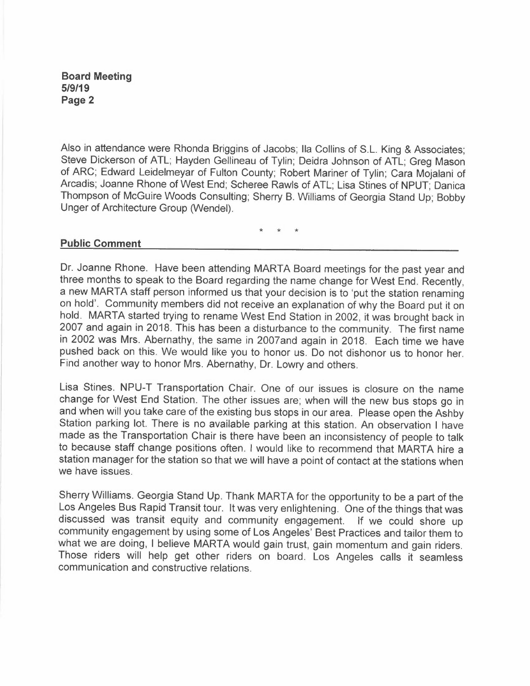Also in attendance were Rhonda Briggins of Jacobs; Ila Collins of S.L. King & Associates; Steve Dickerson of ATL; Hayden Gellineau of Tylin; Deidra Johnson of ATL; Greg Mason of ARC; Edward Leidelmeyar of Fulton County; Robert Mariner of Tylin; Cara Mojalani of Arcadis; Joanne Rhone of West End; Scheree Rawls of ATL; Lisa Stines of NPUT; Danica Thompson of McGuire Woods Consulting; Sherry B. Williams of Georgia Stand Up; Bobby Unger of Architecture Group (Wendel).

\* \* \*

### **Public Comment**

Dr. Joanne Rhone. Have been attending MARTA Board meetings for the past year and three months to speak to the Board regarding the name change for West End. Recently, a new MARTA staff person informed us that your decision is to 'put the station renaming on hold'. Community members did not receive an explanation of why the Board put it on hold. MARTA started trying to rename West End Station in 2002, it was brought back in 2007 and again in 2018. This has been a disturbance to the community. The first name in 2002 was Mrs. Abernathy, the same in 2007and again in 2018. Each time we have pushed back on this. We would like you to honor us. Do not dishonor us to honor her. Find another way to honor Mrs. Abernathy, Dr. Lowry and others.

Lisa Stines. NPU-T Transportation Chair. One of our issues is closure on the name change for West End Station. The other issues are; when will the new bus stops go in and when will you take care of the existing bus stops in our area. Please open the Ashby Station parking lot. There is no available parking at this station. An observation I have made as the Transportation Chair is there have been an inconsistency of people to talk to because staff change positions often. I would like to recommend that MARTA hire a station manager for the station so that we will have a point of contact at the stations when we have issues.

Sherry Williams. Georgia Stand Up. Thank MARTA for the opportunity to be a part of the Los Angeles Bus Rapid Transit tour. It was very enlightening. One of the things that was discussed was transit equity and community engagement. If we could shore up community engagement by using some of Los Angeles' Best Practices and tailor them to what we are doing, I believe MARTA would gain trust, gain momentum and gain riders. Those riders will help get other riders on board. Los Angeles calls it seamless communication and constructive relations.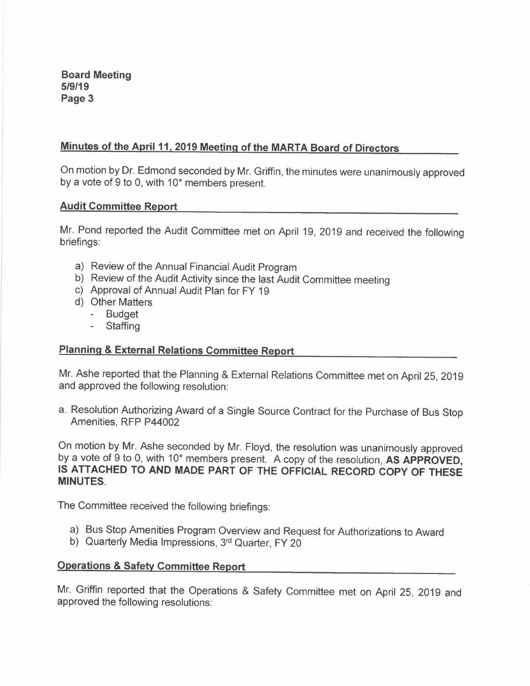### **Minutes of the April 11, 2019 Meeting of the MARTA Board of Directors**

On motion by Dr. Edmond seconded by Mr. Griffin, the minutes were unanimously approved by a vote of 9 to 0, with  $10<sup>*</sup>$  members present.

#### **Audit Committee Report**

Mr. Pond reported the Audit Committee met on April 19, 2019 and received the following briefings:

- a) Review of the Annual Financial Audit Program
- b) Review of the Audit Activity since the last Audit Committee meeting
- c) Approval of Annual Audit Plan for FY 19
- d) Other Matters
	- Budget
	- **Staffing**

### **Planning & External Relations Committee Report**

Mr. Ashe reported that the Planning & External Relations Committee met on April 25, 2019 and approved the following resolution:

a. Resolution Authorizing Award of a Single Source Contract for the Purchase of Bus Stop Amenities, RFP P44002

On motion by Mr. Ashe seconded by Mr. Floyd, the resolution was unanimously approved by a vote of 9 to 0, with 10<sup>\*</sup> members present. A copy of the resolution, AS APPROVED, **IS ATTACHED TO AND MADE PART OF THE OFFICIAL RECORD COPY OF THESE MINUTES.** 

The Committee received the following briefings:

- a) Bus Stop Amenities Program Overview and Request for Authorizations to Award
- b) Quarterly Media Impressions, 3<sup>rd</sup> Quarter, FY 20

#### **Operations & Safety Committee Report**

Mr. Griffin reported that the Operations & Safety Committee met on April 25, 2019 and approved the following resolutions: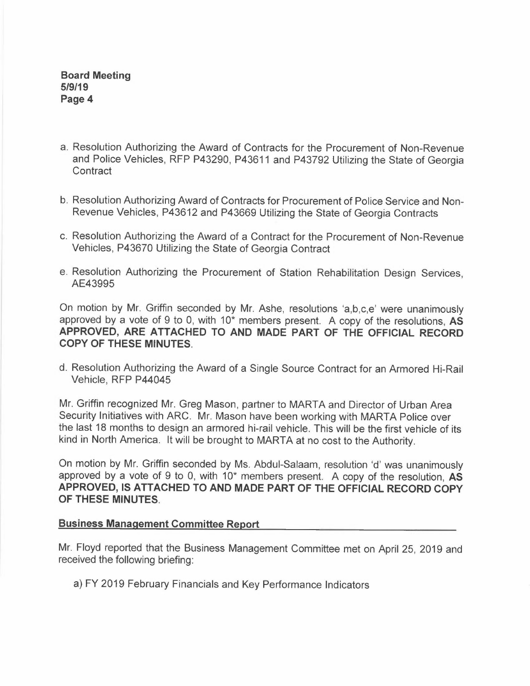- a. Resolution Authorizing the Award of Contracts for the Procurement of Non-Revenue and Police Vehicles, RFP P43290, P43611 and P43792 Utilizing the State of Georgia **Contract**
- b. Resolution Authorizing Award of Contracts for Procurement of Police Service and Non-Revenue Vehicles, P43612 and P43669 Utilizing the State of Georgia Contracts
- c. Resolution Authorizing the Award of a Contract for the Procurement of Non-Revenue Vehicles, P43670 Utilizing the State of Georgia Contract
- e. Resolution Authorizing the Procurement of Station Rehabilitation Design Services, AE43995

On motion by Mr. Griffin seconded by Mr. Ashe, resolutions 'a,b,c,e' were unanimously approved by a vote of 9 to 0, with 10<sup>\*</sup> members present. A copy of the resolutions, AS **APPROVED, ARE ATTACHED TO AND MADE PART OF THE OFFICIAL RECORD COPY OF THESE MINUTES.** 

d. Resolution Authorizing the Award of a Single Source Contract for an Armored Hi-Rail Vehicle, RFP P44045

Mr. Griffin recognized Mr. Greg Mason, partner to MARTA and Director of Urban Area Security Initiatives with ARC. Mr. Mason have been working with MARTA Police over the last 18 months to design an armored hi-rail vehicle. This will be the first vehicle of its kind in North America. It will be brought to MARTA at no cost to the Authority.

On motion by Mr. Griffin seconded by Ms. Abdul-Salaam, resolution 'd' was unanimously approved by a vote of 9 to 0, with 10<sup>\*</sup> members present. A copy of the resolution, AS **APPROVED, IS ATTACHED TO AND MADE PART OF THE OFFICIAL RECORD COPY OF THESE MINUTES.** 

#### **Business Management Committee Report**

Mr. Floyd reported that the Business Management Committee met on April 25, 2019 and received the following briefing:

a) FY 2019 February Financials and Key Performance Indicators